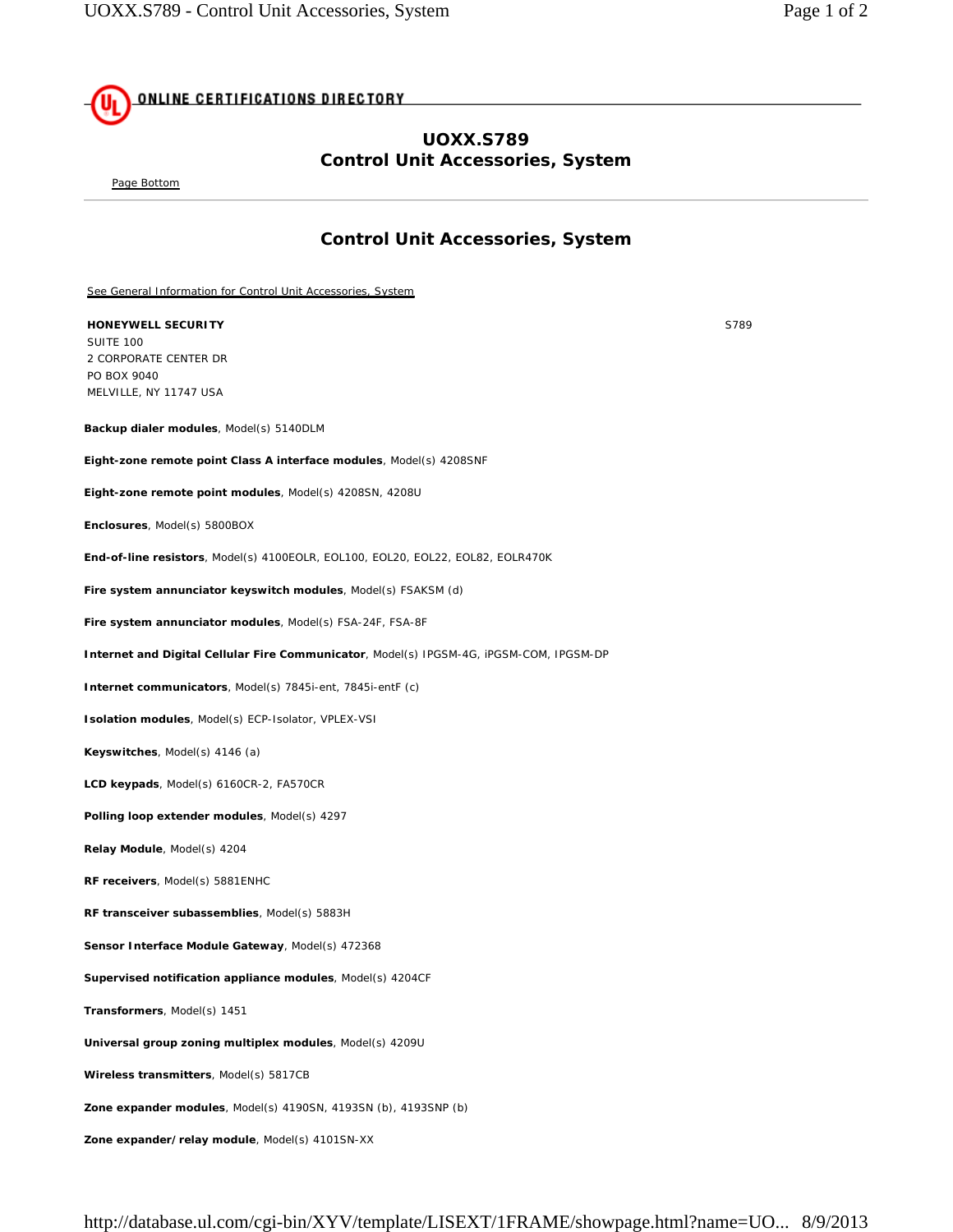## **ONLINE CERTIFICATIONS DIRECTORY**

## **UOXX.S789 Control Unit Accessories, System**

Page Bottom

## **Control Unit Accessories, System**

See General Information for Control Unit Accessories, System

**HONEYWELL SECURITY** S789 SUITE 100 2 CORPORATE CENTER DR PO BOX 9040 MELVILLE, NY 11747 USA

**Backup dialer modules**, Model(s) 5140DLM

**Eight-zone remote point Class A interface modules**, Model(s) 4208SNF

**Eight-zone remote point modules**, Model(s) 4208SN, 4208U

**Enclosures**, Model(s) 5800BOX

**End-of-line resistors**, Model(s) 4100EOLR, EOL100, EOL20, EOL22, EOL82, EOLR470K

**Fire system annunciator keyswitch modules**, Model(s) FSAKSM (d)

**Fire system annunciator modules**, Model(s) FSA-24F, FSA-8F

**Internet and Digital Cellular Fire Communicator**, Model(s) IPGSM-4G, iPGSM-COM, IPGSM-DP

**Internet communicators**, Model(s) 7845i-ent, 7845i-entF (c)

**Isolation modules**, Model(s) ECP-Isolator, VPLEX-VSI

**Keyswitches**, Model(s) 4146 (a)

**LCD keypads**, Model(s) 6160CR-2, FA570CR

**Polling loop extender modules**, Model(s) 4297

**Relay Module**, Model(s) 4204

**RF receivers**, Model(s) 5881ENHC

**RF transceiver subassemblies**, Model(s) 5883H

**Sensor Interface Module Gateway**, Model(s) 472368

**Supervised notification appliance modules**, Model(s) 4204CF

**Transformers**, Model(s) 1451

**Universal group zoning multiplex modules**, Model(s) 4209U

**Wireless transmitters**, Model(s) 5817CB

**Zone expander modules**, Model(s) 4190SN, 4193SN (b), 4193SNP (b)

**Zone expander/relay module**, Model(s) 4101SN-XX